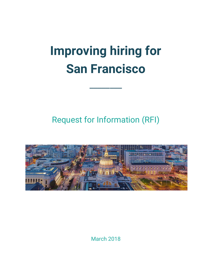# **Improving hiring for San Francisco**

 $\mathcal{L}$ 

## Request for Information (RFI)



March 2018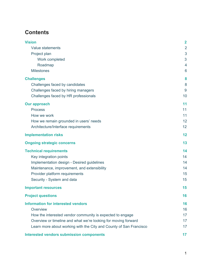## **Contents**

| <b>Vision</b>                                                      | $\overline{2}$ |
|--------------------------------------------------------------------|----------------|
| Value statements                                                   | $\overline{2}$ |
| Project plan                                                       | 3              |
| Work completed                                                     | 3              |
| Roadmap                                                            | 4              |
| <b>Milestones</b>                                                  | 6              |
| <b>Challenges</b>                                                  | 8              |
| Challenges faced by candidates                                     | 8              |
| Challenges faced by hiring managers                                | 9              |
| Challenges faced by HR professionals                               | 10             |
| <b>Our approach</b>                                                | 11             |
| <b>Process</b>                                                     | 11             |
| How we work                                                        | 11             |
| How we remain grounded in users' needs                             | 12             |
| Architecture/Interface requirements                                | 12             |
| <b>Implementation risks</b>                                        | 12             |
| <b>Ongoing strategic concerns</b>                                  | 13             |
| <b>Technical requirements</b>                                      | 14             |
| Key integration points                                             | 14             |
| Implementation design - Desired guidelines                         | 14             |
| Maintenance, improvement, and extensibility                        | 14             |
| Provider platform requirements                                     | 15             |
| Security - System and data                                         | 15             |
| <b>Important resources</b>                                         | 15             |
| <b>Project questions</b>                                           | 16             |
| <b>Information for interested vendors</b>                          | 16             |
| Overview                                                           | 16             |
| How the interested vendor community is expected to engage          | 17             |
| Overview or timeline and what we're looking for moving forward     | 17             |
| Learn more about working with the City and County of San Francisco | 17             |
| <b>Interested vendors submission components</b>                    | 17             |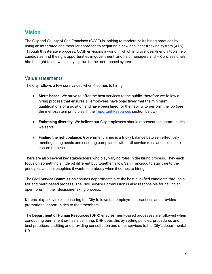## <span id="page-2-0"></span>**Vision**

The City and County of San Francisco (CCSF) is looking to modernize its hiring practices by using an integrated and modular approach to acquiring a new applicant tracking system (ATS). Through this iterative process, CCSF envisions a world in which intuitive, user-friendly tools help candidates find the right opportunities in government, and help managers and HR professionals hire the right talent while staying true to the merit-based system.

## <span id="page-2-1"></span>Value statements

The City follows a few core values when it comes to hiring:

- **● Merit-based:** We strive to offer the best services to the public, therefore we follow a hiring process that ensures all employees have objectively met the minimum qualifications of a position and have been hired for their ability to perform the job (see the merit-system principles in the **Important [Resources](#page-15-2)** section below)
- **● Embracing diversity:** We believe our City employees should represent the communities we serve
- **● Finding the right balance:** Government hiring is a tricky balance between effectively meeting hiring needs and ensuring compliance with civil service rules and policies to ensure fairness

There are also several key stakeholders who play varying roles in the hiring process. They each focus on something a little bit different but, together, allow San Francisco to stay true to the principles and philosophies it wants to embody when it comes to hiring.

The **Civil Service Commission** ensures departments hire the best qualified candidate through a fair and merit-based process. The Civil Service Commission is also responsible for having an open forum in their decision-making process.

**Unions** play a key role in ensuring the City follows fair employment practices and provides promotional opportunities to their members.

The **Department of Human Resources (DHR)** ensures merit-based processes are followed when conducting permanent civil service hiring. DHR does this by setting policies, procedures and best practices, auditing and providing consultation and other services to the City's departmental HR.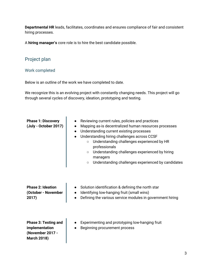**Departmental HR** leads, facilitates, coordinates and ensures compliance of fair and consistent hiring processes.

A **hiring manager's** core role is to hire the best candidate possible.

## <span id="page-3-0"></span>Project plan

#### <span id="page-3-1"></span>Work completed

Below is an outline of the work we have completed to date.

We recognize this is an evolving project with constantly changing needs. This project will go through several cycles of discovery, ideation, prototyping and testing.

| <b>Phase 1: Discovery</b><br>(July - October 2017)                                      | $\bullet$<br>$\bullet$ | Reviewing current rules, policies and practices<br>Mapping as-is decentralized human resources processes<br>Understanding current existing processes<br>Understanding hiring challenges across CCSF<br>Understanding challenges experienced by HR<br>$\circ$<br>professionals<br>Understanding challenges experienced by hiring<br>$\circ$<br>managers<br>Understanding challenges experienced by candidates<br>$\circ$ |
|-----------------------------------------------------------------------------------------|------------------------|-------------------------------------------------------------------------------------------------------------------------------------------------------------------------------------------------------------------------------------------------------------------------------------------------------------------------------------------------------------------------------------------------------------------------|
| <b>Phase 2: Ideation</b><br>(October - November<br>2017)                                |                        | Solution identification & defining the north star<br>Identifying low-hanging fruit (small wins)<br>Defining the various service modules in government hiring                                                                                                                                                                                                                                                            |
| <b>Phase 3: Testing and</b><br>implementation<br>(November 2017 -<br><b>March 2018)</b> |                        | Experimenting and prototyping low-hanging fruit<br>Beginning procurement process                                                                                                                                                                                                                                                                                                                                        |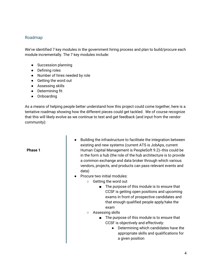#### <span id="page-4-0"></span>Roadmap

We've identified 7 key modules in the government hiring process and plan to build/procure each module incrementally. The 7 key modules include:

- Succession planning
- Defining roles
- Number of hires needed by role
- Getting the word out
- Assessing skills
- Determining fit
- Onboarding

As a means of helping people better understand how this project could come together, here is a tentative roadmap showing how the different pieces could get tackled. We of course recognize that this will likely evolve as we continue to test and get feedback (and input from the vendor community):

#### **Phase 1**

- Building the infrastructure to facilitate the integration between existing and new systems (current ATS is JobAps, current Human Capital Management is PeopleSoft 9.2)--this could be in the form a hub (the role of the hub architecture is to provide a common exchange and data broker through which various vendors, projects, and products can pass relevant events and data)
- Procure two initial modules:
	- Getting the word out
		- The purpose of this module is to ensure that CCSF is getting open positions and upcoming exams in front of prospective candidates and that enough qualified people apply/take the exam
	- Assessing skills
		- The purpose of this module is to ensure that CCSF is objectively and effectively:
			- Determining which candidates have the appropriate skills and qualifications for a given position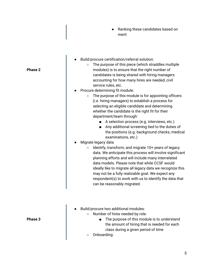- Ranking these candidates based on merit
- Build/procure certification/referral solution:
	- The purpose of this piece (which straddles multiple modules) is to ensure that the right number of candidates is being shared with hiring managers accounting for how many hires are needed, civil service rules, etc.
- Procure determining fit module:
	- The purpose of this module is for appointing officers (i.e. hiring managers) to establish a process for selecting an eligible candidate and determining whether the candidate is the right fit for their department/team through:
		- A selection process (e.g. interviews, etc.)
		- Any additional screening tied to the duties of the positions (e.g. background checks, medical examinations, etc.)
- Migrate legacy data
	- Identify, transform, and migrate 10+ years of legacy data. We anticipate this process will involve significant planning efforts and will include many interrelated data models. Please note that while CCSF would ideally like to migrate all legacy data we recognize this may not be a fully realizable goal. We expect any respondent(s) to work with us to identify the data that can be reasonably migrated.
- Build/procure two additional modules:
	- Number of hires needed by role:
		- The purpose of this module is to understand the amount of hiring that is needed for each class during a given period of time
	- Onboarding:

**Phase 2**

**Phase 3**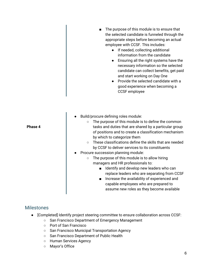|         | The purpose of this module is to ensure that<br>the selected candidate is funneled through the<br>appropriate steps before becoming an actual<br>employee with CCSF. This includes:<br>If needed, collecting additional<br>information from the candidate<br>Ensuring all the right systems have the<br>necessary information so the selected<br>candidate can collect benefits, get paid<br>and start working on Day One<br>Provide the selected candidate with a<br>good experience when becoming a<br>CCSF employee                                                                                                                                                                                                                                                       |
|---------|------------------------------------------------------------------------------------------------------------------------------------------------------------------------------------------------------------------------------------------------------------------------------------------------------------------------------------------------------------------------------------------------------------------------------------------------------------------------------------------------------------------------------------------------------------------------------------------------------------------------------------------------------------------------------------------------------------------------------------------------------------------------------|
| Phase 4 | Build/procure defining roles module:<br>The purpose of this module is to define the common<br>$\circ$<br>tasks and duties that are shared by a particular group<br>of positions and to create a classification mechanism<br>by which to categorize them<br>These classifications define the skills that are needed<br>$\circ$<br>by CCSF to deliver services to its constituents<br>Procure succession planning module:<br>The purpose of this module is to allow hiring<br>$\circ$<br>managers and HR professionals to:<br>Identify and develop new leaders who can<br>$\blacksquare$<br>replace leaders who are separating from CCSF<br>Increase the availability of experienced and<br>capable employees who are prepared to<br>assume new roles as they become available |

## <span id="page-6-0"></span>Milestones

- [Completed] Identify project steering committee to ensure collaboration across CCSF:
	- San Francisco Department of Emergency Management
	- Port of San Francisco
	- San Francisco Municipal Transportation Agency
	- San Francisco Department of Public Health
	- Human Services Agency
	- Mayor's Office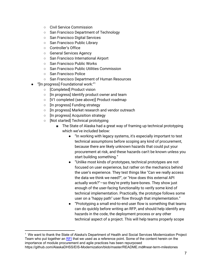- Civil Service Commission
- San Francisco Department of Technology
- San Francisco Digital Services
- San Francisco Public Library
- Controller's Office
- General Services Agency
- San Francisco International Airport
- San Francisco Public Works
- San Francisco Public Utilities Commission
- San Francisco Police
- San Francisco Department of Human Resources
- "[In progress] Foundational work:"<sup>1</sup>
	- [Completed] Product vision
	- [In progress] Identify product owner and team
	- [V1 completed (see above)] Product roadmap
	- [In progress] Funding strategy
	- [In progress] Market research and vendor outreach
	- [In progress] Acquisition strategy
	- [Not started] Technical prototyping
		- The State of Alaska had a great way of framing up technical prototyping which we've included below:
			- "In working with legacy systems, it's especially important to test technical assumptions before scoping any kind of procurement, because there are likely unknown hazards that could put your procurement at risk, and these hazards can't be known unless you start building something."
			- "Unlike most kinds of prototypes, technical prototypes are not focused on user experience, but rather on the mechanics behind the user's experience. They test things like "Can we really access the data we think we need?", or "How does this external API actually work?"—so they're pretty bare-bones. They show just enough of the user-facing functionality to verify some kind of technical implementation. Practically, the prototype follows some user on a "happy path" user flow through that implementation."
			- "Prototyping a small end-to-end user flow is something that teams can do quickly before writing an RFP, and should help identify any hazards in the code, the deployment process or any other technical aspect of a project. This will help teams properly scope

<sup>&</sup>lt;sup>1</sup> We want to thank the State of Alaska's Department of Health and Social Services Modernization Project Team who put together an [RFI](https://github.com/AlaskaDHSS/EIS-Modernization) that we used as a reference point. Some of the content herein on the importance of module procurement and agile practices has been repurposed https://github.com/AlaskaDHSS/EIS-Modernization/blob/master/README.md#near-term-milestones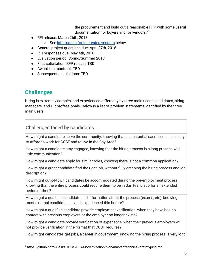the procurement and build out a reasonable RFP with some useful documentation for buyers and for vendors." 2

- RFI release: March 26th, 2018
	- See [information](#page-16-1) for interested vendors below
- General project questions due: April 27th, 2018
- RFI responses due: May 4th, 2018
- Evaluation period: Spring/Summer 2018
- First solicitation: RFP release TBD
- Award first contract: TBD
- Subsequent acquisitions: TBD

## <span id="page-8-0"></span>**Challenges**

Hiring is extremely complex and experienced differently by three main users: candidates, hiring managers, and HR professionals. Below is a list of problem statements identified by the three main users.

## <span id="page-8-1"></span>Challenges faced by candidates

How might a candidate serve the community, knowing that a substantial sacrifice is necessary to afford to work for CCSF and to live in the Bay Area?

How might a candidate stay engaged, knowing that the hiring process is a long process with little communication?

How might a candidate apply for similar roles, knowing there is not a common application?

How might a great candidate find the right job, without fully grasping the hiring process and job description?

How might out-of-town candidates be accommodated during the pre-employment process, knowing that the entire process could require them to be in San Francisco for an extended period of time?

How might a qualified candidate find information about the process (exams, etc), knowing most external candidates haven't experienced this before?

How might a qualified candidate provide employment verification, when they have had no contact with previous employers or the employer no longer exists?

How might a candidate provide verification of experience, when their previous employers will not provide verification in the format that CCSF requires?

How might candidates get jobs/a career in government, knowing the hiring process is very long

<sup>2</sup> https://github.com/AlaskaDHSS/EIS-Modernization/blob/master/technical-prototyping.md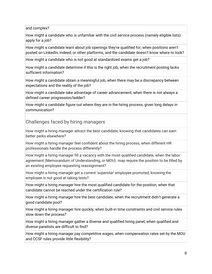and complex?

How might a candidate who is unfamiliar with the civil service process (namely eligible lists) apply for a job?

How might a candidate learn about job openings they're qualified for, when positions aren't posted on LinkedIn, Indeed, or other platforms, and the candidate doesn't know where to look?

How might a candidate who is not good at standardized exams get a job?

How might a candidate determine if this is the right job, when the recruitment posting lacks sufficient information?

How might a candidate obtain a meaningful job, when there may be a discrepancy between expectations and the reality of the job?

How might a candidate take advantage of career advancement, when there is not always a defined career progression/ladder?

How might a candidate figure out where they are in the hiring process, given long delays in communication?

<span id="page-9-0"></span>Challenges faced by hiring managers

How might a hiring manager attract the best candidate, knowing that candidates can earn better perks elsewhere?

How might a hiring manager feel confident about the hiring process, when different HR professionals handle the process differently?

How might a hiring manager fill a vacancy with the most qualified candidate, when the labor agreement (Memorandum of Understanding, or MOU) may require the position to be filled by an existing employee requesting reassignment?

How might a hiring manager get a current 'superstar' employee promoted, knowing the employee is not good at taking tests?

How might a hiring manager hire the most qualified candidate for the position, when that candidate cannot be reached under the certification rule?

How might a hiring manager hire the best candidate, when the recruitment didn't generate a good candidate pool?

How might a hiring manager hire quickly, when built-in time constraints and civil service rules slow down the process?

How might a hiring manager gather a diverse and qualified hiring panel, when qualified and diverse panelists are difficult to find?

How might a hiring manager pay competitive wages, when compensation rates set by the MOU and CCSF rules provide little flexibility?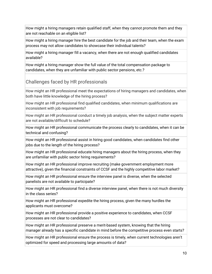How might a hiring managers retain qualified staff, when they cannot promote them and they are not reachable on an eligible list?

How might a hiring manager hire the best candidate for the job and their team, when the exam process may not allow candidates to showcase their individual talents?

How might a hiring manager fill a vacancy, when there are not enough qualified candidates available?

How might a hiring manager show the full value of the total compensation package to candidates, when they are unfamiliar with public sector pensions, etc.?

<span id="page-10-0"></span>Challenges faced by HR professionals

How might an HR professional meet the expectations of hiring managers and candidates, when both have little knowledge of the hiring process?

How might an HR professional find qualified candidates, when minimum qualifications are inconsistent with job requirements?

How might an HR professional conduct a timely job analysis, when the subject matter experts are not available/difficult to schedule?

How might an HR professional communicate the process clearly to candidates, when it can be technical and confusing?

How might an HR professional assist in hiring good candidates, when candidates find other jobs due to the length of the hiring process?

How might an HR professional educate hiring managers about the hiring process, when they are unfamiliar with public sector hiring requirements?

How might an HR professional improve recruiting (make government employment more attractive), given the financial constraints of CCSF and the highly competitive labor market?

How might an HR professional ensure the interview panel is diverse, when the selected panelists are not available to participate?

How might an HR professional find a diverse interview panel, when there is not much diversity in the class series?

How might an HR professional expedite the hiring process, given the many hurdles the applicants must overcome?

How might an HR professional provide a positive experience to candidates, when CCSF processes are not clear to candidates?

How might an HR professional preserve a merit-based system, knowing that the hiring manager already has a specific candidate in mind before the competitive process even starts?

How might an HR professional ensure the process is timely, when current technologies aren't optimized for speed and processing large amounts of data?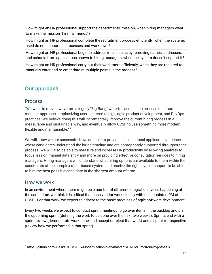How might an HR professional support the departments' mission, when hiring managers want to make the mission "hire my friends"?

How might an HR professional complete the recruitment process efficiently, when the systems used do not support all processes and workflows?

How might an HR professional begin to address implicit bias by removing names, addresses, and schools from applications shown to hiring managers, when the system doesn't support it?

How might an HR professional carry out their work more efficiently, when they are required to manually enter and re-enter data at multiple points in the process?

## <span id="page-11-0"></span>**Our approach**

#### <span id="page-11-1"></span>Process

"We want to move away from a legacy "Big Bang" waterfall acquisition process to a more modular approach, emphasizing user-centered design, agile product development, and DevOps practices. We believe doing this will incrementally improve the current hiring process in a measurable and sustainable way, and eventually allow CCSF to use something more modern, flexible and maintainable." 3

We will know we are successful if we are able to provide an exceptional applicant experience where candidates understand the hiring timeline and are appropriately supported throughout the process. We will also be able to measure and increase HR productivity by allowing analysts to focus less on manual data entry and more on providing effective consultation services to hiring managers. Hiring managers will understand what hiring options are available to them within the constraints of the complex merit-based system and receive the right level of support to be able to hire the best possible candidate in the shortest amount of time.

## <span id="page-11-2"></span>How we work

In an environment where there might be a number of different integration cycles happening at the same time, we think it is critical that each vendor work closely with the appointed PM at CCSF. For that work, we expect to adhere to the basic practices of agile software development.

Every two weeks we expect to conduct sprint meetings to go over items in the backlog and plan the upcoming sprint (defining the work to be done over the next two weeks). Sprints end with a sprint review (demonstrate work done, and accept or reject that work) and a sprint retrospective (review how we performed in that sprint).

<sup>3</sup> https://github.com/AlaskaDHSS/EIS-Modernization/blob/master/README.md#our-hypothesis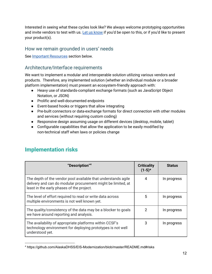Interested in seeing what these cycles look like? We always welcome prototyping opportunities and invite vendors to test with us. Let us [know](mailto:monique.baena-tan@sfgov.org) if you'd be open to this, or if you'd like to present your product(s).

## <span id="page-12-0"></span>How we remain grounded in users' needs

<span id="page-12-1"></span>See Important [Resources](#page-15-2) section below.

## Architecture/Interface requirements

We want to implement a modular and interoperable solution utilizing various vendors and products. Therefore, any implemented solution (whether an individual module or a broader platform implementation) must present an ecosystem-friendly approach with:

- Heavy use of standards-compliant exchange formats (such as JavaScript Object Notation, or JSON)
- Prolific and well-documented endpoints
- Event-based hooks or triggers that allow integrating
- Pre-built connectors or data-exchange formats for direct connection with other modules and services (without requiring custom coding)
- Responsive design assuming usage on different devices (desktop, mobile, tablet)
- Configurable capabilities that allow the application to be easily modified by non-technical staff when laws or policies change

| "Description" <sup>4</sup>                                                                                                                                                 | <b>Criticality</b><br>$(1-5)*$ | <b>Status</b> |
|----------------------------------------------------------------------------------------------------------------------------------------------------------------------------|--------------------------------|---------------|
| The depth of the vendor pool available that understands agile<br>delivery and can do modular procurement might be limited, at<br>least in the early phases of the project. | 4                              | In progress   |
| The level of effort required to read or write data across<br>multiple environments is not well known yet.                                                                  | 5                              | In progress   |
| The quality/consistency of the data may be a blocker to goals<br>we have around reporting and analysis.                                                                    | 2                              | In progress   |
| The availability of appropriate platforms within CCSF's<br>technology environment for deploying prototypes is not well<br>understood yet.                                  | 3                              | In progress   |

## <span id="page-12-2"></span>**Implementation risks**

<sup>4</sup> https://github.com/AlaskaDHSS/EIS-Modernization/blob/master/README.md#risks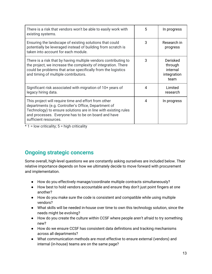| There is a risk that vendors won't be able to easily work with<br>existing systems.                                                                                                                                                                             | 5 | In progress                                            |
|-----------------------------------------------------------------------------------------------------------------------------------------------------------------------------------------------------------------------------------------------------------------|---|--------------------------------------------------------|
| Ensuring the landscape of existing solutions that could<br>potentially be leveraged instead of building from scratch is<br>taken into account for each module.                                                                                                  | 3 | Research in<br>progress                                |
| There is a risk that by having multiple vendors contributing to<br>the project, we increase the complexity of integration. There<br>could be problems that arise specifically from the logistics<br>and timing of multiple contributors.                        | 3 | Derisked<br>through<br>internal<br>integration<br>team |
| Significant risk associated with migration of 10+ years of<br>legacy hiring data.                                                                                                                                                                               | 4 | Limited<br>research                                    |
| This project will require time and effort from other<br>departments (e.g. Controller's Office, Department of<br>Technology) to ensure solutions are in line with existing rules<br>and processes. Everyone has to be on board and have<br>sufficient resources. | 4 | In progress                                            |

 $*$  1 = low criticality; 5 = high criticality

## <span id="page-13-0"></span>**Ongoing strategic concerns**

Some overall, high-level questions we are constantly asking ourselves are included below. Their relative importance depends on how we ultimately decide to move forward with procurement and implementation.

- How do you effectively manage/coordinate multiple contracts simultaneously?
- How best to hold vendors accountable and ensure they don't just point fingers at one another?
- How do you make sure the code is consistent and compatible while using multiple vendors?
- What skills will be needed in-house over time to own this technology solution, since the needs might be evolving?
- How do you create the culture within CCSF where people aren't afraid to try something new?
- How do we ensure CCSF has consistent data definitions and tracking mechanisms across all departments?
- What communication methods are most effective to ensure external (vendors) and internal (in-house) teams are on the same page?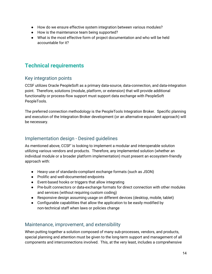- How do we ensure effective system integration between various modules?
- How is the maintenance team being supported?
- What is the most effective form of project documentation and who will be held accountable for it?

## <span id="page-14-0"></span>**Technical requirements**

## <span id="page-14-1"></span>Key integration points

CCSF utilizes Oracle PeopleSoft as a primary data-source, data-connection, and data-integration point. Therefore, solutions (module, platform, or extension) that will provide additional functionality or process-flow support must support data exchange with PeopleSoft PeopleTools.

The preferred connection methodology is the PeopleTools Integration Broker. Specific planning and execution of the Integration Broker development (or an alternative equivalent approach) will be necessary.

## <span id="page-14-2"></span>Implementation design - Desired guidelines

As mentioned above, CCSF' is looking to implement a modular and interoperable solution utilizing various vendors and products. Therefore, any implemented solution (whether an individual module or a broader platform implementation) must present an ecosystem-friendly approach with:

- Heavy use of standards-compliant exchange formats (such as JSON)
- Prolific and well-documented endpoints
- Event-based hooks or triggers that allow integrating
- Pre-built connectors or data-exchange formats for direct connection with other modules and services (without requiring custom coding)
- Responsive design assuming usage on different devices (desktop, mobile, tablet)
- Configurable capabilities that allow the application to be easily modified by non-technical staff when laws or policies change

## <span id="page-14-3"></span>Maintenance, improvement, and extensibility

When putting together a solution composed of many sub-processes, vendors, and products, special planning and attention must be given to the long-term support and management of all components and interconnections involved. This, at the very least, includes a comprehensive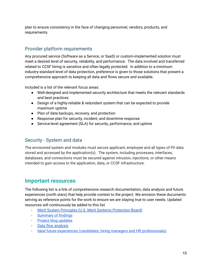plan to ensure consistency in the face of changing personnel, vendors, products, and requirements.

## <span id="page-15-0"></span>Provider platform requirements

Any procured service (Software as a Service, or SaaS) or custom-implemented solution must meet a desired level of security, reliability, and performance. The data involved and transferred related to CCSF hiring is sensitive and often legally protected. In addition to a minimum industry-standard level of data protection, preference is given to those solutions that present a comprehensive approach to keeping all data and flows secure and available.

Included is a list of the relevant focus areas:

- Well-designed and implemented security architecture that meets the relevant standards and best practices
- Design of a highly-reliable & redundant system that can be expected to provide maximum uptime
- Plan of data backups, recovery, and protection
- Response plan for security, incident, and downtime response
- Service-level agreement (SLA) for security, performance, and uptime

## <span id="page-15-1"></span>Security - System and data

The envisioned system and modules must secure applicant, employee and all types of PII data stored and accessed by the application(s). The system, including processes, interfaces, databases, and connections must be secured against intrusion, injections, or other means intended to gain access to the application, data, or CCSF infrastructure.

## <span id="page-15-2"></span>**Important resources**

The following list is a link of comprehensive research documentation, data analysis and future experiences (north stars) that help provide context to the project. We envision these documents serving as reference points for the work to ensure we are staying true to user needs. Updated resources will continuously be added to this list.

- Merit System Principles (U.S. Merit Systems [Protection](https://www.mspb.gov/mspbsearch/viewdocs.aspx?docnumber=1371890&version=1377261&application=ACROBAT) Board)
- [Summary](https://docs.google.com/presentation/d/1FEp8q5vz-w7FmpShUSjT1r2PDrNwu5Cje959JyF13_0/edit#slide=id.g2f432a3998_0_254) of findings
- Project blog [updates](https://medium.com/@sfhiring)
- Data flow [analysis](https://docs.google.com/presentation/d/12hyVcTHMWIh-ZYKcju3KwRzI9zk7TfbxBGkQg4qRXtk/edit)
- Ideal future experiences (candidates, hiring managers and HR [professionals\)](https://docs.google.com/presentation/d/1-rrjlioC9QBzTc0PXV4gnJfEX_PP9PgR9LOKa417Gog/edit)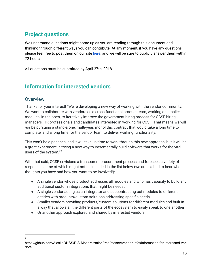## <span id="page-16-0"></span>**Project questions**

We understand questions might come up as you are reading through this document and thinking through different ways you can contribute. At any moment, if you have any questions, please feel free to post them on our site [here](https://www.sfhiring.com/ask-a-question), and we will be sure to publicly answer them within 72 hours.

All questions must be submitted by April 27th, 2018.

## <span id="page-16-1"></span>**Information for interested vendors**

## <span id="page-16-2"></span>**Overview**

Thanks for your interest! "We're developing a new way of working with the vendor community. We want to collaborate with vendors as a cross-functional product team, working on smaller modules, in the open, to iteratively improve the government hiring process for CCSF hiring managers, HR professionals and candidates interested in working for CCSF. That means we will *not* be pursuing a stand-alone, multi-year, monolithic contract that would take a long time to complete, and a long time for the vendor team to deliver working functionality.

This won't be a panacea, and it will take us time to work through this new approach, but it will be a great experiment in trying a new way to incrementally build software that works for the vital users of the system." 5

With that said, CCSF envisions a transparent procurement process and foresees a variety of responses some of which might not be included in the list below (we are excited to hear what thoughts you have and how you want to be involved!):

- A single vendor whose product addresses all modules and who has capacity to build any additional custom integrations that might be needed
- A single vendor acting as an integrator and subcontracting out modules to different entities with products/custom solutions addressing specific needs
- Smaller vendors providing products/custom solutions for different modules and built in a way that allows all the different parts of the ecosystem to easily speak to one another
- Or another approach explored and shared by interested vendors

<sup>5</sup>

https://github.com/AlaskaDHSS/EIS-Modernization/tree/master/vendor-info#information-for-interested-ven dors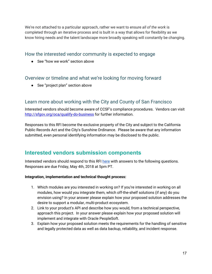We're not attached to a particular approach, rather we want to ensure *all of the work* is completed through an iterative process and is built in a way that allows for flexibility as we know hiring needs and the talent landscape more broadly speaking will constantly be changing.

#### <span id="page-17-0"></span>How the interested vendor community is expected to engage

● See "how we work" section above

## <span id="page-17-1"></span>Overview or timeline and what we're looking for moving forward

● See "project plan" section above

## <span id="page-17-2"></span>Learn more about working with the City and County of San Francisco

Interested vendors should become aware of CCSF's compliance procedures. Vendors can visit <http://sfgov.org/oca/qualify-do-business> for further information.

Responses to this RFI become the exclusive property of the City and subject to the California Public Records Act and the City's Sunshine Ordinance. Please be aware that any information submitted, even personal identifying information may be disclosed to the public.

## <span id="page-17-3"></span>**Interested vendors submission components**

Interested vendors should respond to this RFI [here](https://sfhiring.typeform.com/to/OCMS4N) with answers to the following questions. Responses are due Friday, May 4th, 2018 at 5pm PT.

#### **Integration, implementation and technical thought process:**

- 1. Which modules are you interested in working on? If you're interested in working on all modules, how would you integrate them, which off-the-shelf solutions (if any) do you envision using? In your answer please explain how your proposed solution addresses the desire to support a modular, multi-product ecosystem.
- 2. Link to your product's API and describe how you would, from a technical perspective, approach this project. In your answer please explain how your proposed solution will implement and integrate with Oracle PeopleSoft.
- 3. Explain how your proposed solution meets the requirements for the handling of sensitive and legally protected data as well as data backup, reliability, and incident response.